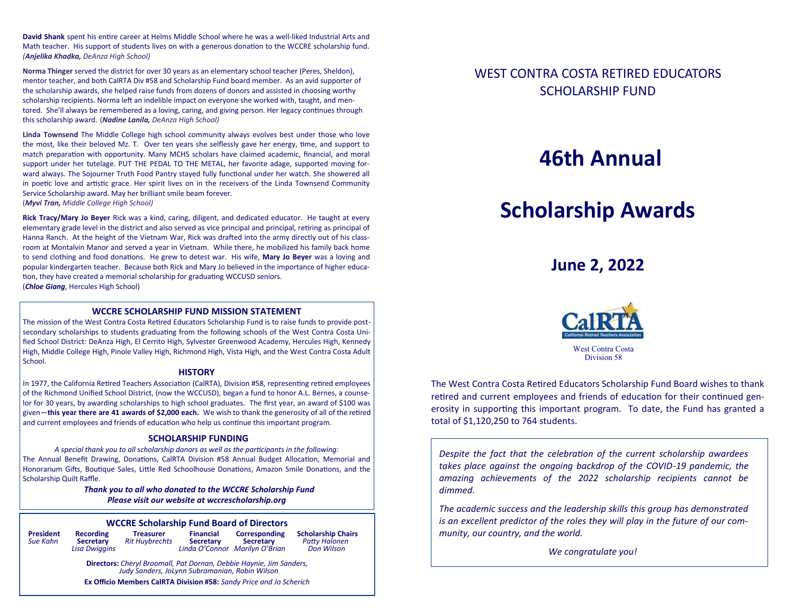**David Shank** spent his entire career at Helms Middle School where he was a well-liked Industrial Arts and Math teacher. His support of students lives on with a generous donation to the WCCRE scholarship fund. *(Anjelika Khadka, DeAnza High School)*

**Norma Thinger** served the district for over 30 years as an elementary school teacher (Peres, Sheldon), mentor teacher, and both CalRTA Div #58 and Scholarship Fund board member. As an avid supporter of the scholarship awards, she helped raise funds from dozens of donors and assisted in choosing worthy scholarship recipients. Norma left an indelible impact on everyone she worked with, taught, and mentored. She'll always be remembered as a loving, caring, and giving person. Her legacy continues through this scholarship award. (*Nadine Lanila, DeAnza High School)*

**Linda Townsend** The Middle College high school community always evolves best under those who love the most, like their beloved Mz. T. Over ten years she selflessly gave her energy, time, and support to match preparation with opportunity. Many MCHS scholars have claimed academic, financial, and moral support under her tutelage. PUT THE PEDAL TO THE METAL, her favorite adage, supported moving forward always. The Sojourner Truth Food Pantry stayed fully functional under her watch. She showered all in poetic love and artistic grace. Her spirit lives on in the receivers of the Linda Townsend Community Service Scholarship award. May her brilliant smile beam forever.

(*Myvi Tran, Middle College High School)*

**Rick Tracy/Mary Jo Beyer** Rick was a kind, caring, diligent, and dedicated educator. He taught at every elementary grade level in the district and also served as vice principal and principal, retiring as principal of Hanna Ranch. At the height of the Vietnam War, Rick was drafted into the army directly out of his classroom at Montalvin Manor and served a year in Vietnam. While there, he mobilized his family back home to send clothing and food donations. He grew to detest war. His wife, **Mary Jo Beyer** was a loving and popular kindergarten teacher. Because both Rick and Mary Jo believed in the importance of higher education, they have created a memorial scholarship for graduating WCCUSD seniors.

(*Chloe Giang*, Hercules High School)

#### **WCCRE SCHOLARSHIP FUND MISSION STATEMENT**

The mission of the West Contra Costa Retired Educators Scholarship Fund is to raise funds to provide postsecondary scholarships to students graduating from the following schools of the West Contra Costa Unified School District: DeAnza High, El Cerrito High, Sylvester Greenwood Academy, Hercules High, Kennedy High, Middle College High, Pinole Valley High, Richmond High, Vista High, and the West Contra Costa Adult School.

#### **HISTORY**

In 1977, the California Retired Teachers Association (CalRTA), Division #58, representing retired employees of the Richmond Unified School District, (now the WCCUSD), began a fund to honor A.L. Bernes, a counselor for 30 years, by awarding scholarships to high school graduates. The first year, an award of \$100 was given—**this year there are 41 awards of \$2,000 each.** We wish to thank the generosity of all of the retired and current employees and friends of education who help us continue this important program.

#### **SCHOLARSHIP FUNDING**

*A special thank you to all scholarship donors as well as the participants in the following:* The Annual Benefit Drawing, Donations, CalRTA Division #58 Annual Budget Allocation, Memorial and Honorarium Gifts, Boutique Sales, Little Red Schoolhouse Donations, Amazon Smile Donations, and the Scholarship Quilt Raffle.

> *Thank you to all who donated to the WCCRE Scholarship Fund Please visit our website at wccrescholarship.org*

#### **WCCRE Scholarship Fund Board of Directors**

| President |  |
|-----------|--|
| Sue Kahn  |  |
|           |  |

**Recording Treasurer Financial Corresponding Scholarship Chairs<br>
<b>Secretary** Rit Huybrechts Secretary Secretary Patty Halonen  *Sue Kahn* **Secretary** *Rit Huybrechts* **Secretary Secretary** *Patty Halonen*

*Linda O'Connor Marilyn O'Brian* 

**Directors:** *Cheryl Broomall, Pat Dornan, Debbie Haynie, Jim Sanders, Judy Sanders, JoLynn Subramanian, Robin Wilson* 

**Ex Officio Members CalRTA Division #58:** *Sandy Price and Jo Scherich*

### WEST CONTRA COSTA RETIRED EDUCATORS SCHOLARSHIP FUND

## **46th Annual**

# **Scholarship Awards**

## **June 2, 2022**



West Contra Costa Division 58

The West Contra Costa Retired Educators Scholarship Fund Board wishes to thank retired and current employees and friends of education for their continued generosity in supporting this important program. To date, the Fund has granted a total of \$1,120,250 to 764 students.

*Despite the fact that the celebration of the current scholarship awardees takes place against the ongoing backdrop of the COVID-19 pandemic, the amazing achievements of the 2022 scholarship recipients cannot be dimmed.*

*The academic success and the leadership skills this group has demonstrated is an excellent predictor of the roles they will play in the future of our community, our country, and the world.* 

*We congratulate you!*